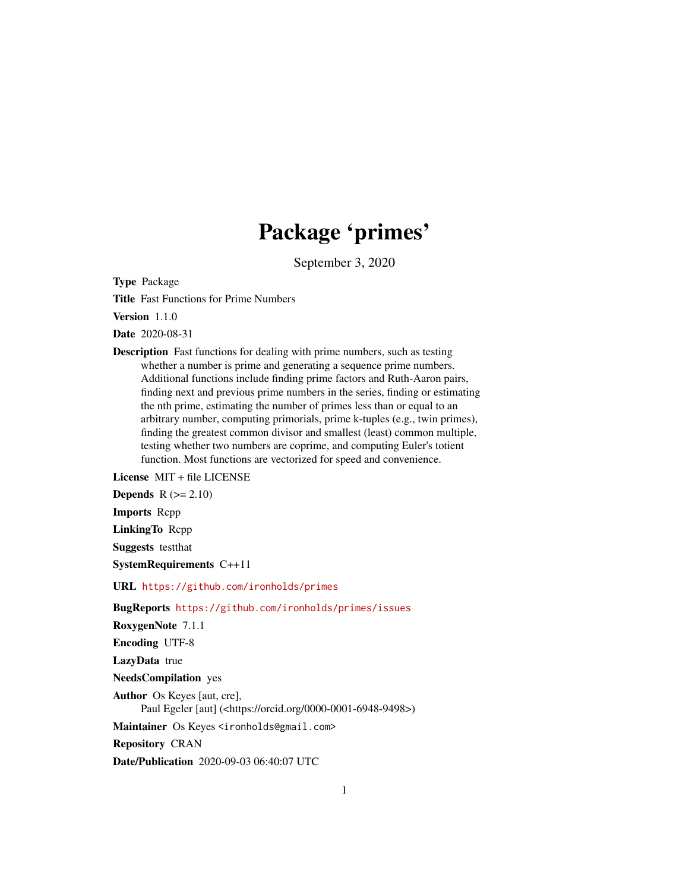# Package 'primes'

September 3, 2020

Type Package

Title Fast Functions for Prime Numbers

Version 1.1.0

Date 2020-08-31

Description Fast functions for dealing with prime numbers, such as testing whether a number is prime and generating a sequence prime numbers. Additional functions include finding prime factors and Ruth-Aaron pairs, finding next and previous prime numbers in the series, finding or estimating the nth prime, estimating the number of primes less than or equal to an arbitrary number, computing primorials, prime k-tuples (e.g., twin primes), finding the greatest common divisor and smallest (least) common multiple, testing whether two numbers are coprime, and computing Euler's totient function. Most functions are vectorized for speed and convenience.

License MIT + file LICENSE

Depends  $R (= 2.10)$ 

Imports Rcpp

LinkingTo Rcpp

Suggests testthat

SystemRequirements C++11

URL <https://github.com/ironholds/primes>

BugReports <https://github.com/ironholds/primes/issues>

RoxygenNote 7.1.1

Encoding UTF-8

LazyData true

NeedsCompilation yes

Author Os Keyes [aut, cre], Paul Egeler [aut] (<https://orcid.org/0000-0001-6948-9498>)

Maintainer Os Keyes <ironholds@gmail.com>

Repository CRAN

Date/Publication 2020-09-03 06:40:07 UTC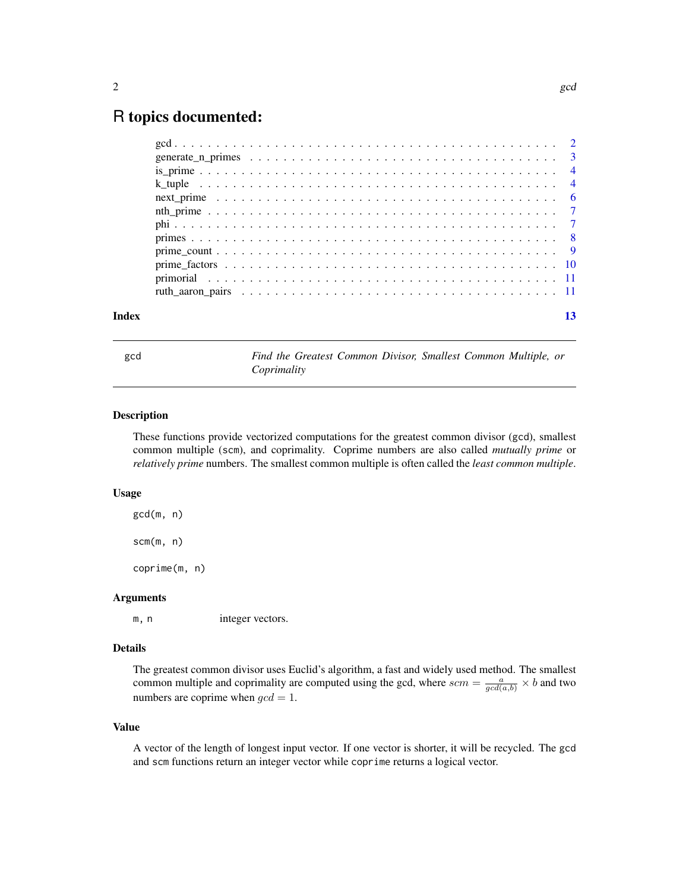# <span id="page-1-0"></span>R topics documented:

| Index |  |
|-------|--|

<span id="page-1-1"></span>

gcd *Find the Greatest Common Divisor, Smallest Common Multiple, or Coprimality*

#### <span id="page-1-2"></span>Description

These functions provide vectorized computations for the greatest common divisor (gcd), smallest common multiple (scm), and coprimality. Coprime numbers are also called *mutually prime* or *relatively prime* numbers. The smallest common multiple is often called the *least common multiple*.

#### Usage

gcd(m, n)

scm(m, n)

coprime(m, n)

#### Arguments

m, n integer vectors.

# Details

The greatest common divisor uses Euclid's algorithm, a fast and widely used method. The smallest common multiple and coprimality are computed using the gcd, where  $scm = \frac{a}{gcd(a,b)} \times b$  and two numbers are coprime when  $\gcd = 1$ .

#### Value

A vector of the length of longest input vector. If one vector is shorter, it will be recycled. The gcd and scm functions return an integer vector while coprime returns a logical vector.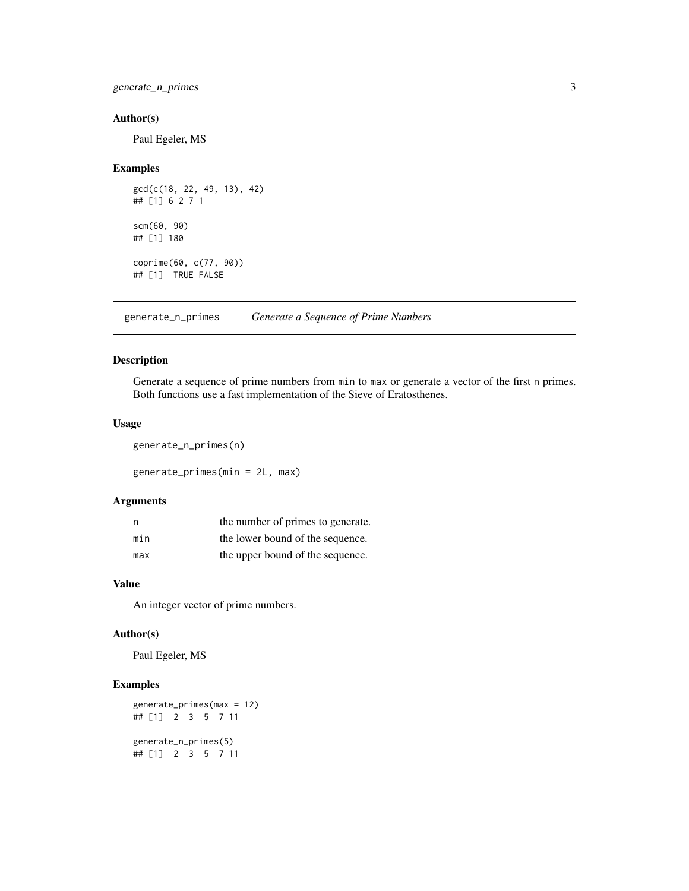<span id="page-2-0"></span>generate\_n\_primes 3

## Author(s)

Paul Egeler, MS

# Examples

```
gcd(c(18, 22, 49, 13), 42)
## [1] 6 2 7 1
scm(60, 90)
## [1] 180
coprime(60, c(77, 90))
## [1] TRUE FALSE
```
<span id="page-2-2"></span>generate\_n\_primes *Generate a Sequence of Prime Numbers*

# <span id="page-2-1"></span>Description

Generate a sequence of prime numbers from min to max or generate a vector of the first n primes. Both functions use a fast implementation of the Sieve of Eratosthenes.

#### Usage

generate\_n\_primes(n)

generate\_primes(min = 2L, max)

# Arguments

| n   | the number of primes to generate. |
|-----|-----------------------------------|
| min | the lower bound of the sequence.  |
| max | the upper bound of the sequence.  |

#### Value

An integer vector of prime numbers.

#### Author(s)

Paul Egeler, MS

```
generate_primes(max = 12)
## [1] 2 3 5 7 11
generate_n_primes(5)
## [1] 2 3 5 7 11
```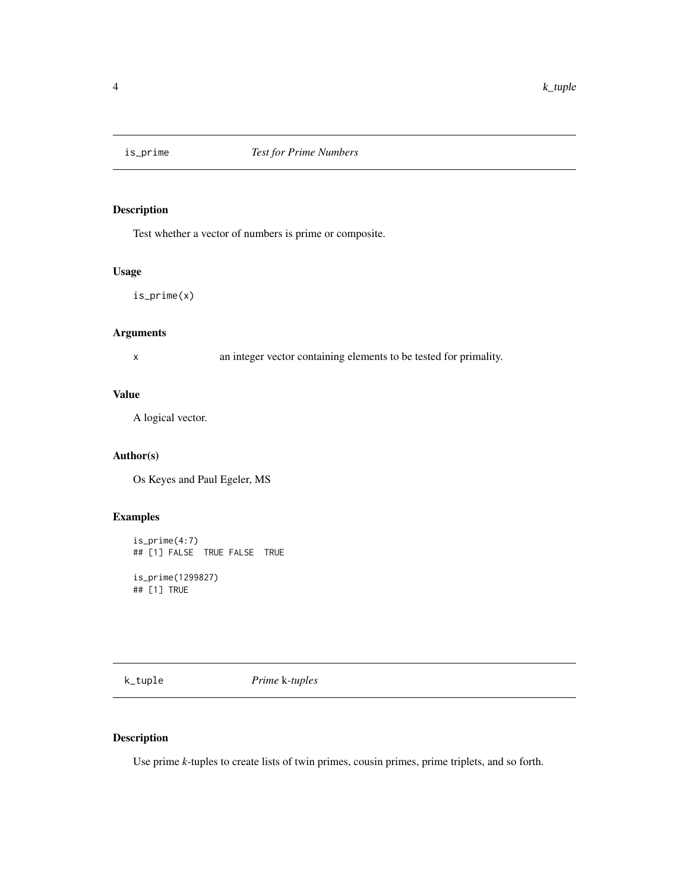<span id="page-3-0"></span>

Test whether a vector of numbers is prime or composite.

# Usage

is\_prime(x)

# Arguments

x an integer vector containing elements to be tested for primality.

#### Value

A logical vector.

# Author(s)

Os Keyes and Paul Egeler, MS

# Examples

is\_prime(4:7) ## [1] FALSE TRUE FALSE TRUE

is\_prime(1299827) ## [1] TRUE

k\_tuple *Prime* k*-tuples*

# Description

Use prime *k*-tuples to create lists of twin primes, cousin primes, prime triplets, and so forth.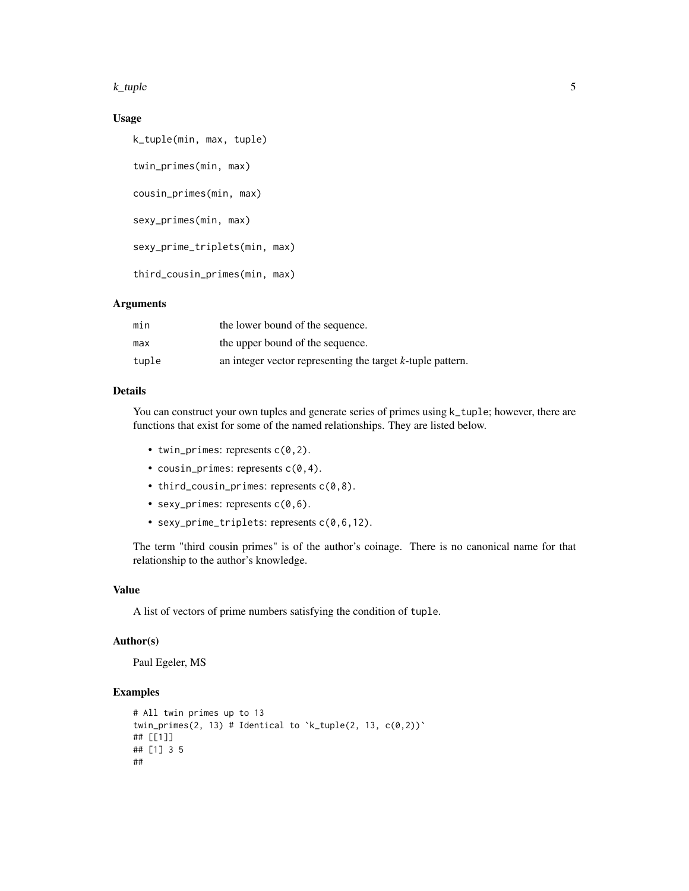#### k\_tuple 5

# Usage

```
k_tuple(min, max, tuple)
twin_primes(min, max)
cousin_primes(min, max)
sexy_primes(min, max)
sexy_prime_triplets(min, max)
third_cousin_primes(min, max)
```
# Arguments

| min   | the lower bound of the sequence.                              |
|-------|---------------------------------------------------------------|
| max   | the upper bound of the sequence.                              |
| tuple | an integer vector representing the target $k$ -tuple pattern. |

# Details

You can construct your own tuples and generate series of primes using  $k$ <sub>-tuple</sub>; however, there are functions that exist for some of the named relationships. They are listed below.

- twin\_primes: represents  $c(0,2)$ .
- cousin\_primes: represents  $c(0, 4)$ .
- third\_cousin\_primes: represents  $c(0,8)$ .
- sexy\_primes: represents  $c(0,6)$ .
- sexy\_prime\_triplets: represents c(0,6,12).

The term "third cousin primes" is of the author's coinage. There is no canonical name for that relationship to the author's knowledge.

#### Value

A list of vectors of prime numbers satisfying the condition of tuple.

#### Author(s)

Paul Egeler, MS

```
# All twin primes up to 13
twin_primes(2, 13) # Identical to k_tuple(2, 13, c(0,2))
## [[1]]
## [1] 3 5
##
```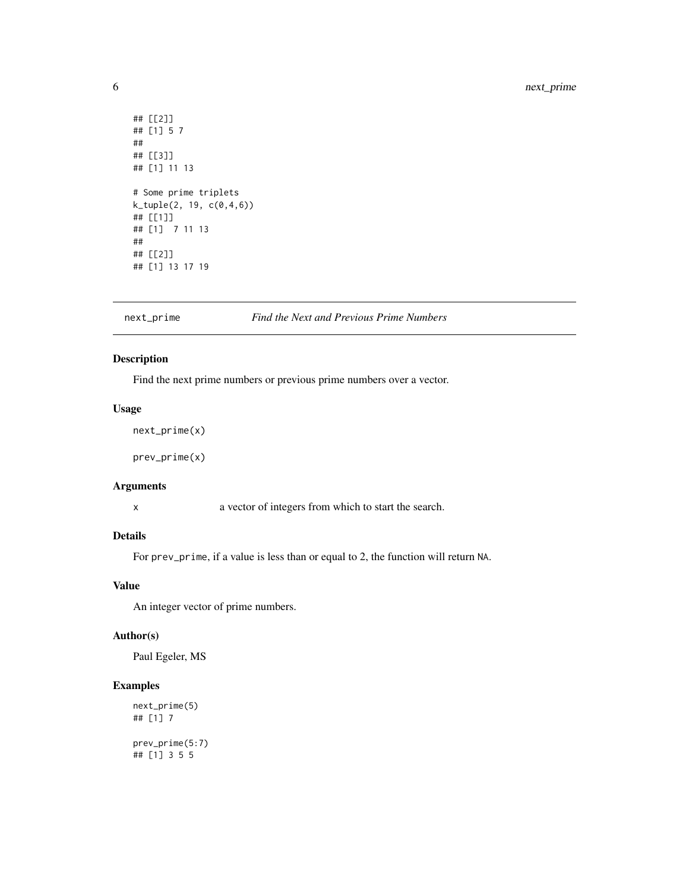```
## [[2]]
## [1] 5 7
##
## [[3]]
## [1] 11 13
# Some prime triplets
k_tuple(2, 19, c(0,4,6))
## [[1]]
## [1] 7 11 13
##
## [[2]]
## [1] 13 17 19
```
# next\_prime *Find the Next and Previous Prime Numbers*

# Description

Find the next prime numbers or previous prime numbers over a vector.

#### Usage

```
next_prime(x)
```
prev\_prime(x)

#### Arguments

x a vector of integers from which to start the search.

## Details

For prev\_prime, if a value is less than or equal to 2, the function will return NA.

#### Value

An integer vector of prime numbers.

#### Author(s)

Paul Egeler, MS

```
next_prime(5)
## [1] 7
prev_prime(5:7)
## [1] 3 5 5
```
<span id="page-5-0"></span>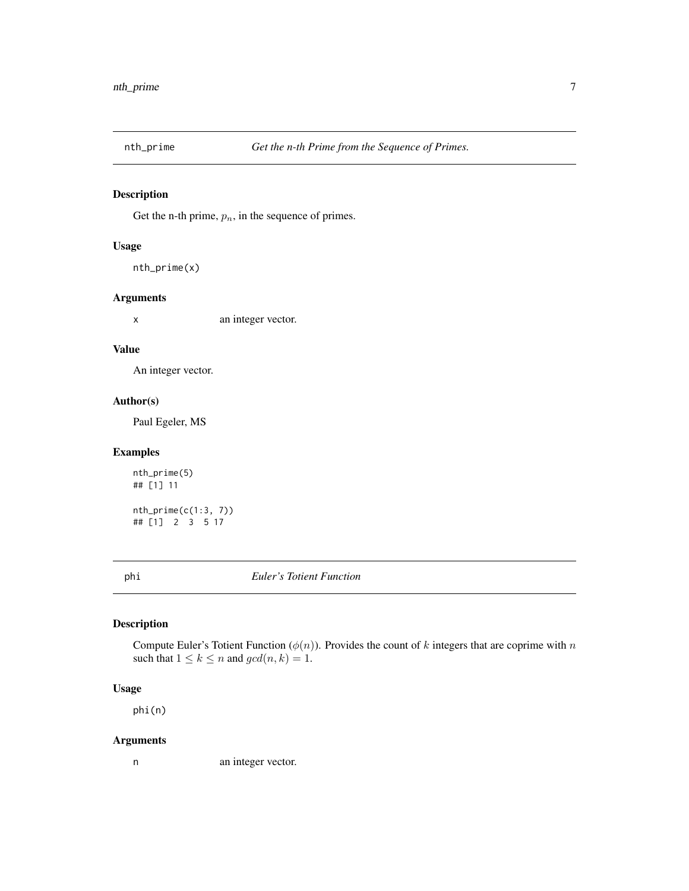<span id="page-6-0"></span>

Get the n-th prime,  $p_n$ , in the sequence of primes.

# Usage

nth\_prime(x)

# Arguments

x an integer vector.

#### Value

An integer vector.

#### Author(s)

Paul Egeler, MS

## Examples

nth\_prime(5) ## [1] 11

 $nth\_prime(c(1:3, 7))$ ## [1] 2 3 5 17

phi *Euler's Totient Function*

# Description

Compute Euler's Totient Function ( $\phi(n)$ ). Provides the count of k integers that are coprime with n such that  $1 \leq k \leq n$  and  $gcd(n, k) = 1$ .

#### Usage

phi(n)

# Arguments

n an integer vector.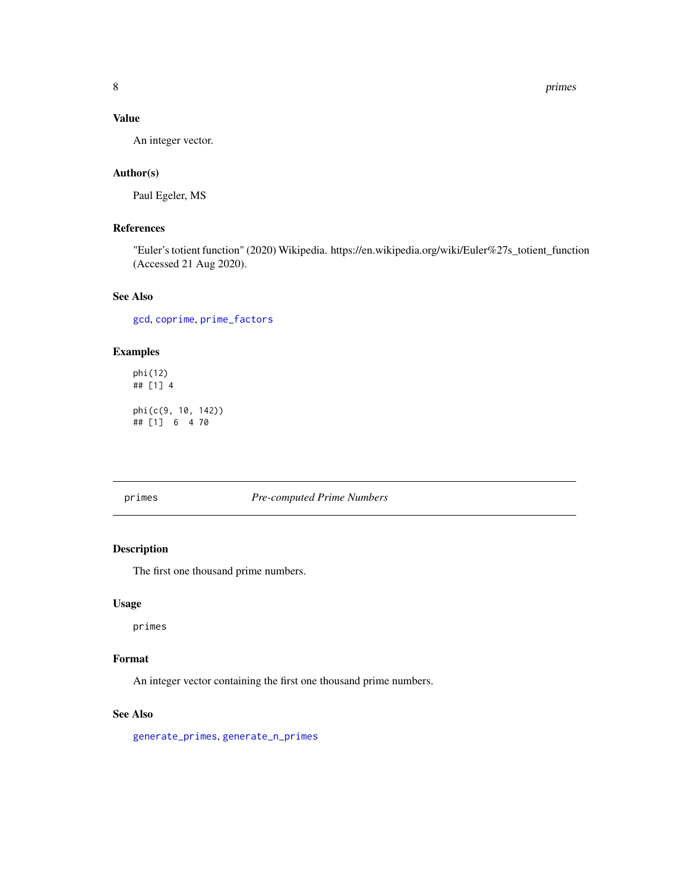<span id="page-7-0"></span>8 primes

# Value

An integer vector.

# Author(s)

Paul Egeler, MS

# References

"Euler's totient function" (2020) Wikipedia. https://en.wikipedia.org/wiki/Euler%27s\_totient\_function (Accessed 21 Aug 2020).

# See Also

[gcd](#page-1-1), [coprime](#page-1-2), [prime\\_factors](#page-9-1)

# Examples

```
phi(12)
## [1] 4
phi(c(9, 10, 142))
## [1] 6 4 70
```
#### primes *Pre-computed Prime Numbers*

#### Description

The first one thousand prime numbers.

#### Usage

primes

# Format

An integer vector containing the first one thousand prime numbers.

### See Also

[generate\\_primes](#page-2-1), [generate\\_n\\_primes](#page-2-2)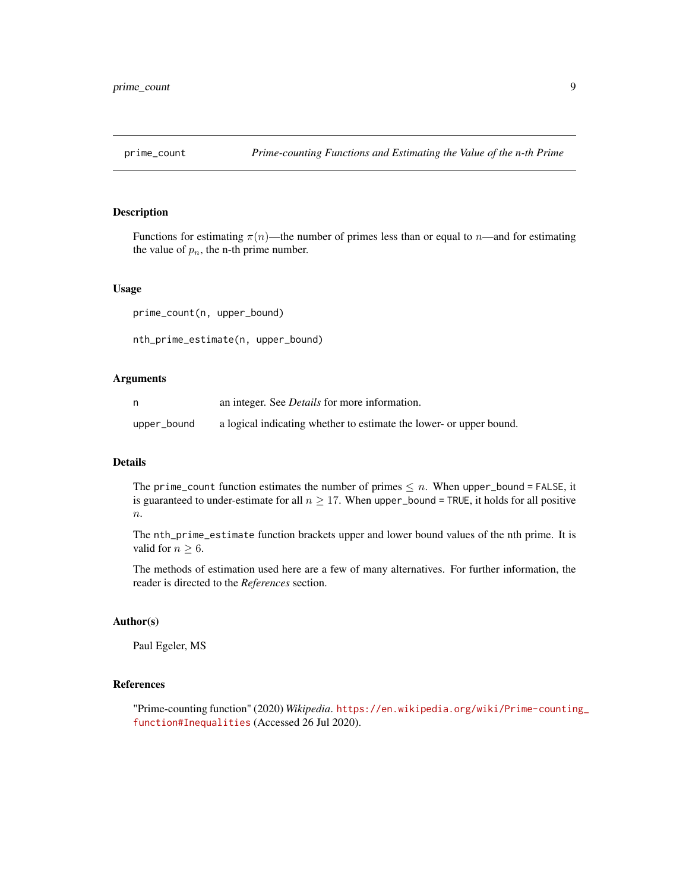<span id="page-8-0"></span>

Functions for estimating  $\pi(n)$ —the number of primes less than or equal to n—and for estimating the value of  $p_n$ , the n-th prime number.

#### Usage

```
prime_count(n, upper_bound)
nth_prime_estimate(n, upper_bound)
```
#### Arguments

|             | an integer. See <i>Details</i> for more information.                |
|-------------|---------------------------------------------------------------------|
| upper_bound | a logical indicating whether to estimate the lower- or upper bound. |

#### Details

The prime\_count function estimates the number of primes  $\leq n$ . When upper\_bound = FALSE, it is guaranteed to under-estimate for all  $n \geq 17$ . When upper\_bound = TRUE, it holds for all positive  $\overline{n}$ .

The nth\_prime\_estimate function brackets upper and lower bound values of the nth prime. It is valid for  $n \geq 6$ .

The methods of estimation used here are a few of many alternatives. For further information, the reader is directed to the *References* section.

#### Author(s)

Paul Egeler, MS

### References

"Prime-counting function" (2020) *Wikipedia*. [https://en.wikipedia.org/wiki/Prime-countin](https://en.wikipedia.org/wiki/Prime-counting_function#Inequalities)g\_ [function#Inequalities](https://en.wikipedia.org/wiki/Prime-counting_function#Inequalities) (Accessed 26 Jul 2020).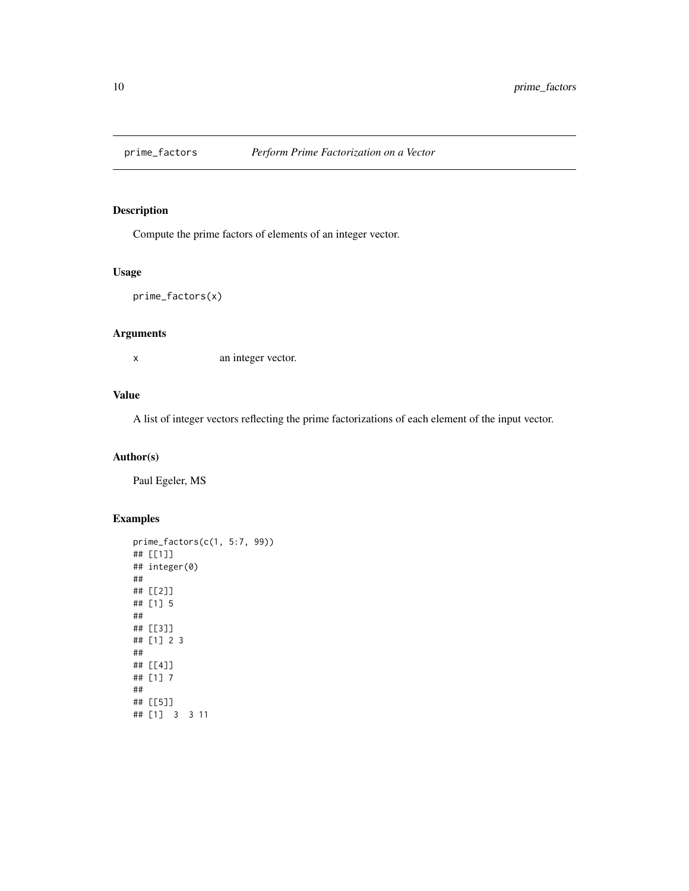<span id="page-9-1"></span><span id="page-9-0"></span>

Compute the prime factors of elements of an integer vector.

# Usage

```
prime_factors(x)
```
# Arguments

x an integer vector.

## Value

A list of integer vectors reflecting the prime factorizations of each element of the input vector.

# Author(s)

Paul Egeler, MS

```
prime_factors(c(1, 5:7, 99))
## [[1]]
## integer(0)
##
## [[2]]
## [1] 5
##
## [[3]]
## [1] 2 3
##
## [[4]]
## [1] 7
##
## [[5]]
## [1] 3 3 11
```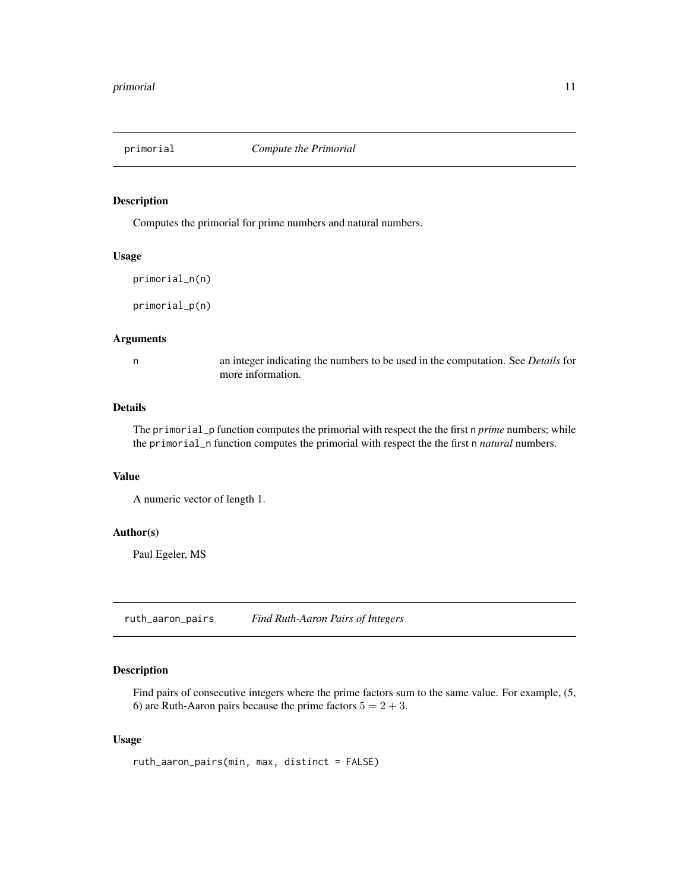<span id="page-10-0"></span>

Computes the primorial for prime numbers and natural numbers.

#### Usage

```
primorial_n(n)
```
primorial\_p(n)

#### Arguments

n an integer indicating the numbers to be used in the computation. See *Details* for more information.

# Details

The primorial\_p function computes the primorial with respect the the first n *prime* numbers; while the primorial\_n function computes the primorial with respect the the first n *natural* numbers.

# Value

A numeric vector of length 1.

# Author(s)

Paul Egeler, MS

ruth\_aaron\_pairs *Find Ruth-Aaron Pairs of Integers*

# Description

Find pairs of consecutive integers where the prime factors sum to the same value. For example,  $(5, 1)$ 6) are Ruth-Aaron pairs because the prime factors  $5 = 2 + 3$ .

#### Usage

ruth\_aaron\_pairs(min, max, distinct = FALSE)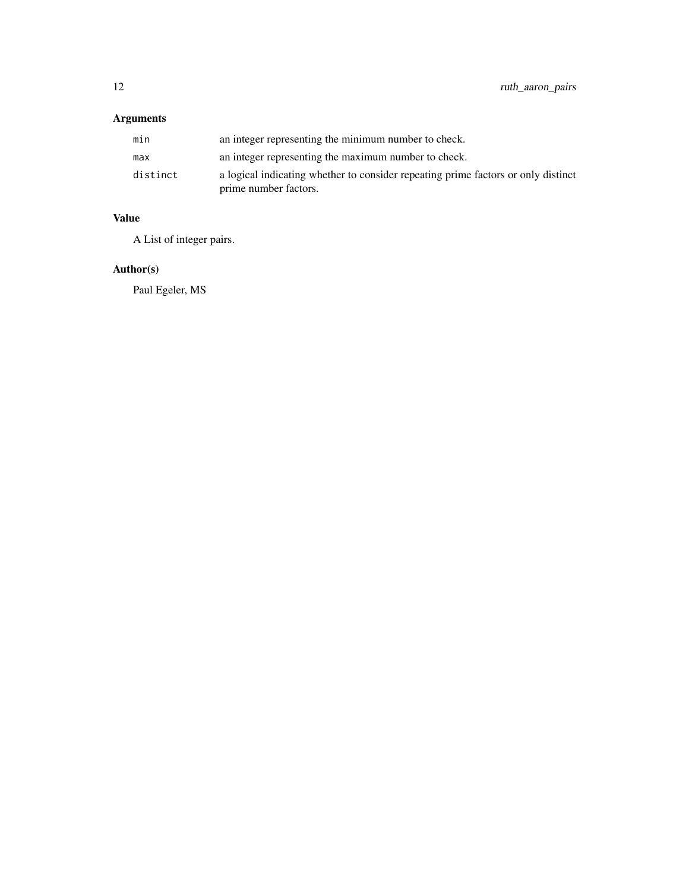# Arguments

| min      | an integer representing the minimum number to check.                                                       |
|----------|------------------------------------------------------------------------------------------------------------|
| max      | an integer representing the maximum number to check.                                                       |
| distinct | a logical indicating whether to consider repeating prime factors or only distinct<br>prime number factors. |

# Value

A List of integer pairs.

# Author(s)

Paul Egeler, MS